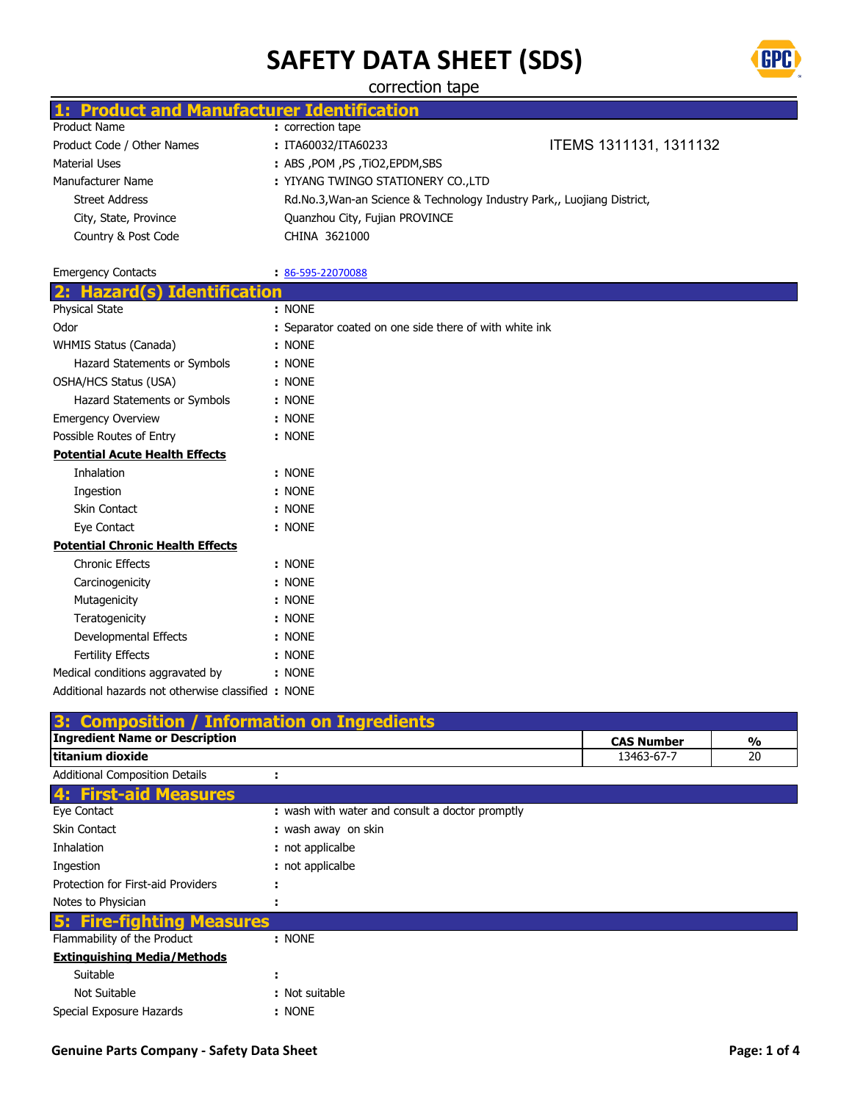

correction tape

|                            | 1: Product and Manufacturer Identification |                                                                         |
|----------------------------|--------------------------------------------|-------------------------------------------------------------------------|
| Product Name               | : correction tape                          |                                                                         |
| Product Code / Other Names | : ITA60032/ITA60233                        | ITEMS 1311131, 1311132                                                  |
| Material Uses              | : ABS , POM , PS , TIO2, EPDM, SBS         |                                                                         |
| Manufacturer Name          | : YIYANG TWINGO STATIONERY CO., LTD        |                                                                         |
| <b>Street Address</b>      |                                            | Rd.No.3, Wan-an Science & Technology Industry Park,, Luojiang District, |
| City, State, Province      | Quanzhou City, Fujian PROVINCE             |                                                                         |
| Country & Post Code        | CHINA 3621000                              |                                                                         |
|                            |                                            |                                                                         |

| <b>Emergency Contacts</b>               | 86-595-22070088                                        |
|-----------------------------------------|--------------------------------------------------------|
| <b>Hazard(s) Identification</b><br>2:   |                                                        |
| Physical State                          | : NONE                                                 |
| Odor                                    | : Separator coated on one side there of with white ink |
| WHMIS Status (Canada)                   | : NONE                                                 |
| Hazard Statements or Symbols            | : NONE                                                 |
| OSHA/HCS Status (USA)                   | : NONE                                                 |
| Hazard Statements or Symbols            | : NONE                                                 |
| <b>Emergency Overview</b>               | : NONE                                                 |
| Possible Routes of Entry                | : NONE                                                 |
| <b>Potential Acute Health Effects</b>   |                                                        |
| Inhalation                              | : NONE                                                 |
| Ingestion                               | : NONE                                                 |
| <b>Skin Contact</b>                     | : NONE                                                 |
| Eye Contact                             | : NONE                                                 |
| <b>Potential Chronic Health Effects</b> |                                                        |
| <b>Chronic Effects</b>                  | : NONE                                                 |
| Carcinogenicity                         | : NONE                                                 |
| Mutagenicity                            | : NONE                                                 |
| Teratogenicity                          | : NONE                                                 |
| Developmental Effects                   | : NONE                                                 |
| <b>Fertility Effects</b>                | : NONE                                                 |
| Medical conditions aggravated by        | : NONE                                                 |

Additional hazards not otherwise classified : NONE **3: Composition / Information on Ingredients**

|                                       | <b>3. Composition</b> / aniomiation on ingredients |                   |               |
|---------------------------------------|----------------------------------------------------|-------------------|---------------|
| <b>Ingredient Name or Description</b> |                                                    | <b>CAS Number</b> | $\frac{0}{0}$ |
| titanium dioxide                      |                                                    | 13463-67-7        | 20            |
| <b>Additional Composition Details</b> |                                                    |                   |               |
| <b>4: First-aid Measures</b>          |                                                    |                   |               |
| Eye Contact                           | : wash with water and consult a doctor promptly    |                   |               |
| <b>Skin Contact</b>                   | : wash away on skin                                |                   |               |
| <b>Inhalation</b>                     | : not applicalbe                                   |                   |               |
| Ingestion                             | : not applicalbe                                   |                   |               |
| Protection for First-aid Providers    |                                                    |                   |               |
| Notes to Physician                    |                                                    |                   |               |
| <b>5: Fire-fighting Measures</b>      |                                                    |                   |               |
| Flammability of the Product           | : NONE                                             |                   |               |
| <b>Extinguishing Media/Methods</b>    |                                                    |                   |               |
| Suitable                              | ٠<br>٠                                             |                   |               |
| Not Suitable                          | : Not suitable                                     |                   |               |
| Special Exposure Hazards              | : NONE                                             |                   |               |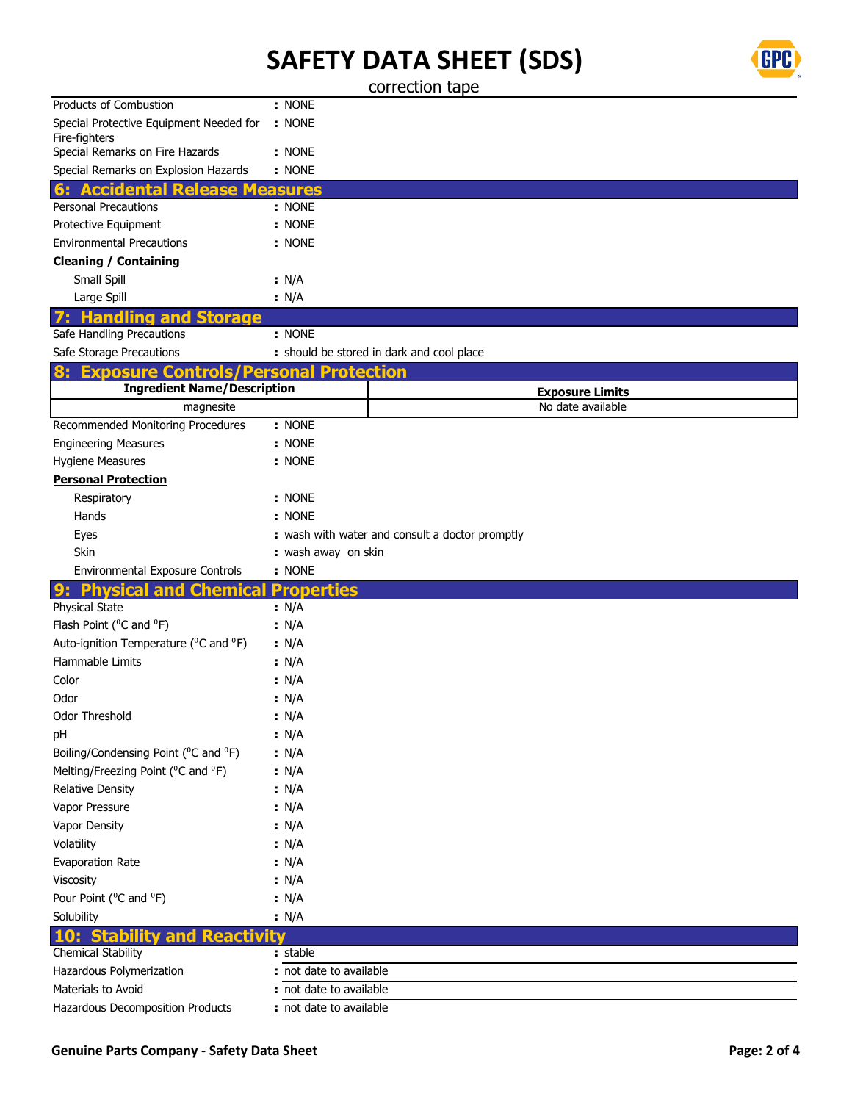

correction tape

| Products of Combustion                                         | : NONE                     |                                               |
|----------------------------------------------------------------|----------------------------|-----------------------------------------------|
| Special Protective Equipment Needed for                        | : NONE                     |                                               |
| Fire-fighters<br>Special Remarks on Fire Hazards               | : NONE                     |                                               |
| Special Remarks on Explosion Hazards                           | : NONE                     |                                               |
| <b>Accidental Release M</b><br>6:                              |                            |                                               |
| <b>Personal Precautions</b>                                    | easures<br>: NONE          |                                               |
| Protective Equipment                                           | : NONE                     |                                               |
| <b>Environmental Precautions</b>                               | : NONE                     |                                               |
| <b>Cleaning / Containing</b>                                   |                            |                                               |
| Small Spill                                                    | : N/A                      |                                               |
| Large Spill                                                    | : N/A                      |                                               |
| <b>Handling</b><br>and                                         |                            |                                               |
| Storage<br>Safe Handling Precautions                           | : NONE                     |                                               |
| Safe Storage Precautions                                       |                            | : should be stored in dark and cool place     |
| <b>Exposure Contro</b>                                         | <b>Personal Protection</b> |                                               |
| <b>Ingredient Name/Description</b>                             |                            |                                               |
| magnesite                                                      |                            | <b>Exposure Limits</b><br>No date available   |
| Recommended Monitoring Procedures                              | : NONE                     |                                               |
| <b>Engineering Measures</b>                                    | : NONE                     |                                               |
| Hygiene Measures                                               | : NONE                     |                                               |
| <b>Personal Protection</b>                                     |                            |                                               |
| Respiratory                                                    | : NONE                     |                                               |
| Hands                                                          | : NONE                     |                                               |
| Eyes                                                           |                            | wash with water and consult a doctor promptly |
| Skin                                                           | : wash away on skin        |                                               |
| <b>Environmental Exposure Controls</b>                         | : NONE                     |                                               |
| <b>Physical and</b><br>9:<br><b>Chem</b>                       | Properties                 |                                               |
| Physical State                                                 | : N/A                      |                                               |
| Flash Point ( <sup>o</sup> C and <sup>o</sup> F)               | : N/A                      |                                               |
| Auto-ignition Temperature ( <sup>o</sup> C and <sup>o</sup> F) | : N/A                      |                                               |
| Flammable Limits                                               | : N/A                      |                                               |
| Color                                                          | : N/A                      |                                               |
| Odor                                                           | : N/A                      |                                               |
| Odor Threshold                                                 | : N/A                      |                                               |
| рH                                                             | : N/A                      |                                               |
| Boiling/Condensing Point ( <sup>o</sup> C and <sup>o</sup> F)  | : N/A                      |                                               |
| Melting/Freezing Point ( <sup>0</sup> C and <sup>0</sup> F)    | : N/A                      |                                               |
| <b>Relative Density</b>                                        | : N/A                      |                                               |
| Vapor Pressure                                                 | : N/A                      |                                               |
| Vapor Density                                                  | : N/A                      |                                               |
| Volatility                                                     | : N/A                      |                                               |
| Evaporation Rate                                               | : N/A                      |                                               |
| Viscosity                                                      | : N/A                      |                                               |
| Pour Point ( <sup>0</sup> C and <sup>0</sup> F)                | : N/A                      |                                               |
| Solubility                                                     | : N/A                      |                                               |
| 10: Stability and<br><b>Reactivity</b>                         |                            |                                               |
| Chemical Stability                                             | : stable                   |                                               |
| Hazardous Polymerization                                       | : not date to available    |                                               |
| Materials to Avoid                                             | not date to available      |                                               |
| Hazardous Decomposition Products                               | : not date to available    |                                               |
|                                                                |                            |                                               |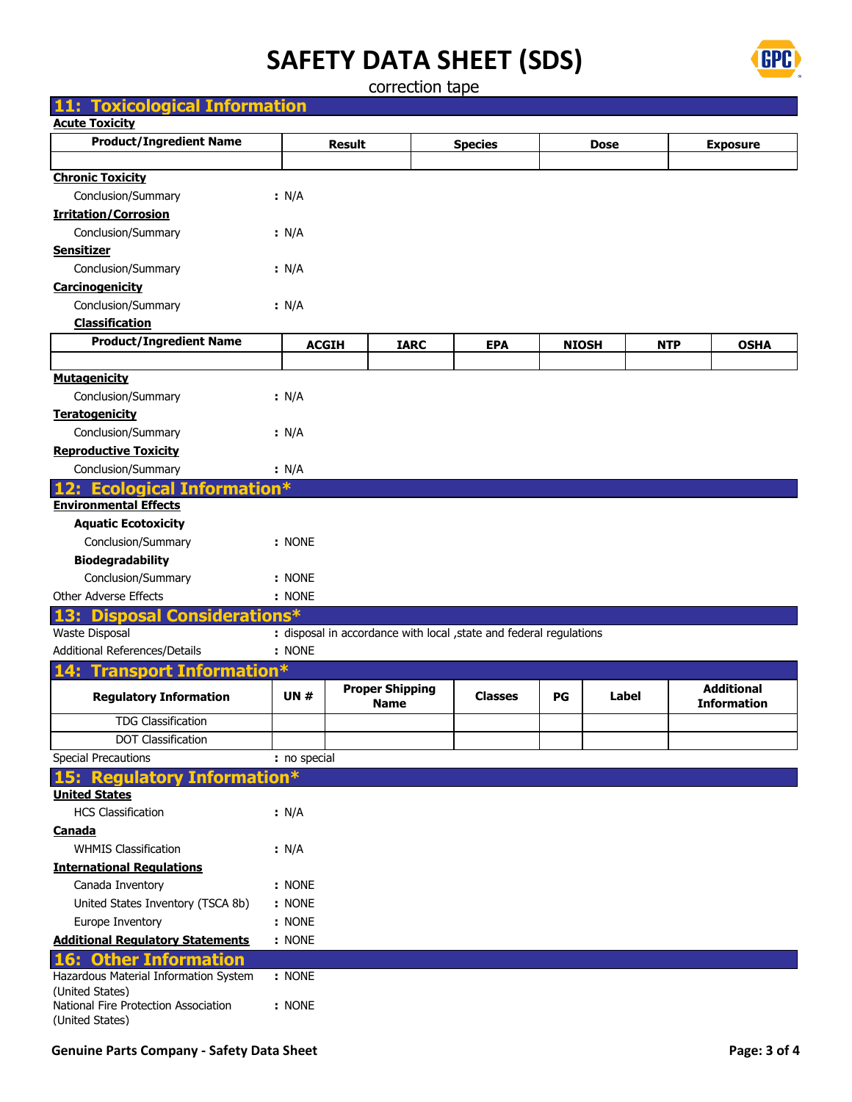

correction tape

| <b>Toxicological Information</b><br>11:                           |              |                                       |             |                                                                     |              |             |            |                                         |
|-------------------------------------------------------------------|--------------|---------------------------------------|-------------|---------------------------------------------------------------------|--------------|-------------|------------|-----------------------------------------|
| <b>Acute Toxicity</b>                                             |              |                                       |             |                                                                     |              |             |            |                                         |
| <b>Product/Ingredient Name</b>                                    |              | <b>Result</b>                         |             | <b>Species</b>                                                      |              | <b>Dose</b> |            | <b>Exposure</b>                         |
|                                                                   |              |                                       |             |                                                                     |              |             |            |                                         |
| <b>Chronic Toxicity</b>                                           |              |                                       |             |                                                                     |              |             |            |                                         |
| Conclusion/Summary                                                | : N/A        |                                       |             |                                                                     |              |             |            |                                         |
| <b>Irritation/Corrosion</b>                                       |              |                                       |             |                                                                     |              |             |            |                                         |
| Conclusion/Summary                                                | : N/A        |                                       |             |                                                                     |              |             |            |                                         |
| <b>Sensitizer</b>                                                 |              |                                       |             |                                                                     |              |             |            |                                         |
| Conclusion/Summary                                                | : N/A        |                                       |             |                                                                     |              |             |            |                                         |
| Carcinogenicity                                                   |              |                                       |             |                                                                     |              |             |            |                                         |
| Conclusion/Summary                                                | : N/A        |                                       |             |                                                                     |              |             |            |                                         |
| <b>Classification</b>                                             |              |                                       |             |                                                                     |              |             |            |                                         |
| <b>Product/Ingredient Name</b>                                    |              | <b>ACGIH</b>                          | <b>IARC</b> | <b>EPA</b>                                                          | <b>NIOSH</b> |             | <b>NTP</b> | <b>OSHA</b>                             |
|                                                                   |              |                                       |             |                                                                     |              |             |            |                                         |
| <b>Mutagenicity</b>                                               |              |                                       |             |                                                                     |              |             |            |                                         |
| Conclusion/Summary                                                | : N/A        |                                       |             |                                                                     |              |             |            |                                         |
| <b>Teratogenicity</b>                                             |              |                                       |             |                                                                     |              |             |            |                                         |
| Conclusion/Summary                                                | : N/A        |                                       |             |                                                                     |              |             |            |                                         |
| <b>Reproductive Toxicity</b>                                      |              |                                       |             |                                                                     |              |             |            |                                         |
| Conclusion/Summary                                                | : N/A        |                                       |             |                                                                     |              |             |            |                                         |
| <b>Ecological Information*</b>                                    |              |                                       |             |                                                                     |              |             |            |                                         |
| <b>Environmental Effects</b>                                      |              |                                       |             |                                                                     |              |             |            |                                         |
| <b>Aquatic Ecotoxicity</b>                                        |              |                                       |             |                                                                     |              |             |            |                                         |
| Conclusion/Summary                                                | : NONE       |                                       |             |                                                                     |              |             |            |                                         |
| <b>Biodegradability</b>                                           |              |                                       |             |                                                                     |              |             |            |                                         |
| Conclusion/Summary                                                | : NONE       |                                       |             |                                                                     |              |             |            |                                         |
| Other Adverse Effects                                             | : NONE       |                                       |             |                                                                     |              |             |            |                                         |
| <b>Disposal Considerations*</b><br>13:                            |              |                                       |             |                                                                     |              |             |            |                                         |
| Waste Disposal                                                    |              |                                       |             | : disposal in accordance with local , state and federal regulations |              |             |            |                                         |
| Additional References/Details                                     | : NONE       |                                       |             |                                                                     |              |             |            |                                         |
| <b>Transport Information*</b><br>14:                              |              |                                       |             |                                                                     |              |             |            |                                         |
| <b>Regulatory Information</b>                                     | <b>UN#</b>   | <b>Proper Shipping</b><br><b>Name</b> |             | <b>Classes</b>                                                      | PG           |             | Label      | <b>Additional</b><br><b>Information</b> |
| TDG Classification                                                |              |                                       |             |                                                                     |              |             |            |                                         |
| <b>DOT Classification</b>                                         |              |                                       |             |                                                                     |              |             |            |                                         |
| <b>Special Precautions</b>                                        | : no special |                                       |             |                                                                     |              |             |            |                                         |
| <b>Regulatory Information*</b>                                    |              |                                       |             |                                                                     |              |             |            |                                         |
| <b>United States</b>                                              |              |                                       |             |                                                                     |              |             |            |                                         |
| <b>HCS Classification</b>                                         | : N/A        |                                       |             |                                                                     |              |             |            |                                         |
| <b>Canada</b>                                                     |              |                                       |             |                                                                     |              |             |            |                                         |
| <b>WHMIS Classification</b>                                       | $\cdot$ N/A  |                                       |             |                                                                     |              |             |            |                                         |
| <b>International Requlations</b>                                  |              |                                       |             |                                                                     |              |             |            |                                         |
| Canada Inventory                                                  | : NONE       |                                       |             |                                                                     |              |             |            |                                         |
| United States Inventory (TSCA 8b)                                 | : NONE       |                                       |             |                                                                     |              |             |            |                                         |
| Europe Inventory                                                  | : NONE       |                                       |             |                                                                     |              |             |            |                                         |
| <b>Additional Regulatory Statements</b>                           | : NONE       |                                       |             |                                                                     |              |             |            |                                         |
|                                                                   |              |                                       |             |                                                                     |              |             |            |                                         |
| <b>Other Information</b><br>Hazardous Material Information System | : NONE       |                                       |             |                                                                     |              |             |            |                                         |
| (United States)                                                   |              |                                       |             |                                                                     |              |             |            |                                         |
| National Fire Protection Association<br>(United States)           | : NONE       |                                       |             |                                                                     |              |             |            |                                         |